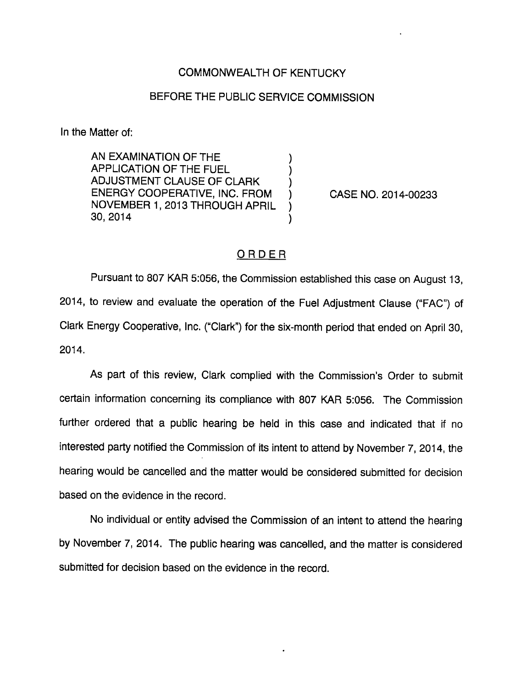## COMMONWEALTH OF KENTUCKY

## BEFORE THE PUBLIC SERVICE COMMISSION

In the Matter of:

AN EXAMINATION OF THE APPLICATION OF THE FUEL ADJUSTMENT CLAUSE OF CLARK ENERGY COOPERATIVE, INC. FROM NOVEMBER 1, 2013 THROUGH APRIL 30, 2014

CASE NO. 2014-00233

## ORDER

Pursuant to 807 KAR 5:056, the Commission established this case on August 13, 2014, to review and evaluate the operation of the Fuel Adjustment Clause ("FAC") of Clark Energy Cooperative, Inc. ("Clark") for the six-month period that ended on April 30, 2014.

As part of this review, Clark complied with the Commission's Order to submit certain information concerning its compliance with 807 KAR 5:056. The Commission further ordered that a public hearing be held in this case and indicated that if no interested party notified the Commission of its intent to attend by November 7, 2014, the hearing would be cancelled and the matter would be considered submitted for decision based on the evidence in the record.

No individual or entity advised the Commission of an intent to attend the hearing by November 7, 2014. The public hearing was cancelled, and the matter is considered submitted for decision based on the evidence in the record.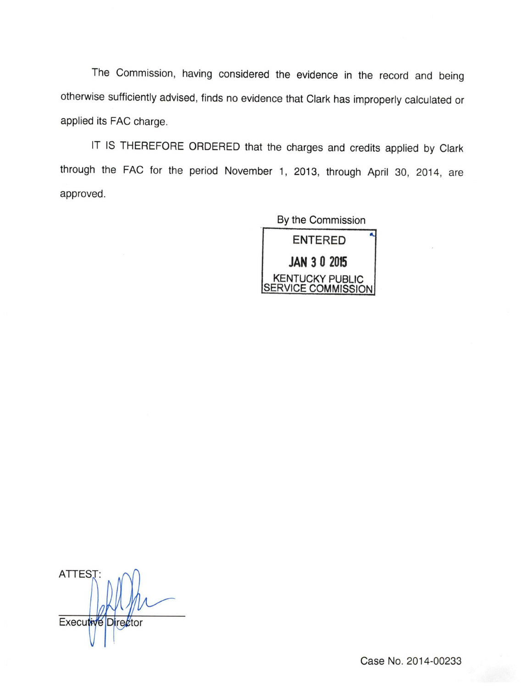The Commission, having considered the evidence in the record and being otherwise sufficiently advised, finds no evidence that Clark has improperly calculated or applied its FAC charge.

IT IS THEREFORE ORDERED that the charges and credits applied by Clark through the FAC for the period November 1, 2013, through April 30, 2014, are approved.

> By the Commission ENTERED JAN 3 0 2015 KENTUCKY PUBLIC SERVICE COMMISSION

ATTEST:  $\cup$ Executive Director

Case No. 2014-00233